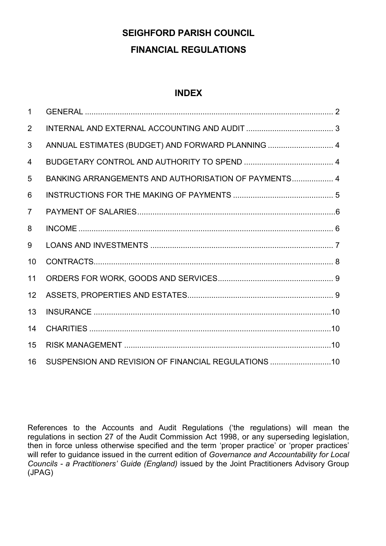# **SEIGHFORD PARISH COUNCIL FINANCIAL REGULATIONS**

# **INDEX**

| $\mathbf 1$    |                                                      |  |
|----------------|------------------------------------------------------|--|
| $\overline{2}$ |                                                      |  |
| 3              | ANNUAL ESTIMATES (BUDGET) AND FORWARD PLANNING  4    |  |
| 4              |                                                      |  |
| 5              | BANKING ARRANGEMENTS AND AUTHORISATION OF PAYMENTS 4 |  |
| 6              |                                                      |  |
| $\overline{7}$ |                                                      |  |
| 8              |                                                      |  |
| 9              |                                                      |  |
| 10             |                                                      |  |
| 11             |                                                      |  |
| 12             |                                                      |  |
| 13             |                                                      |  |
| 14             |                                                      |  |
| 15             |                                                      |  |
| 16             | SUSPENSION AND REVISION OF FINANCIAL REGULATIONS 10  |  |

References to the Accounts and Audit Regulations ('the regulations) will mean the regulations in section 27 of the Audit Commission Act 1998, or any superseding legislation, then in force unless otherwise specified and the term 'proper practice' or 'proper practices' will refer to guidance issued in the current edition of *Governance and Accountability for Local Councils - a Practitioners' Guide (England)* issued by the Joint Practitioners Advisory Group (JPAG)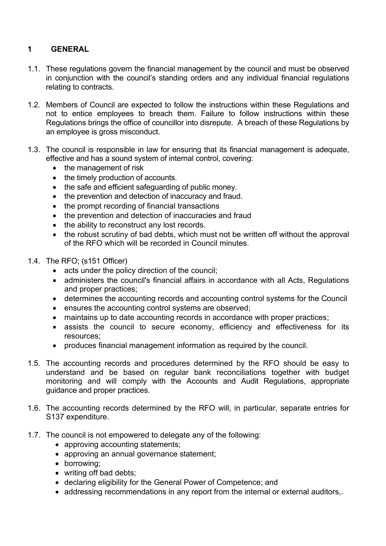# <span id="page-1-0"></span>**1 GENERAL**

- 1.1. These regulations govern the financial management by the council and must be observed in conjunction with the council's standing orders and any individual financial regulations relating to contracts.
- 1.2. Members of Council are expected to follow the instructions within these Regulations and not to entice employees to breach them. Failure to follow instructions within these Regulations brings the office of councillor into disrepute. A breach of these Regulations by an employee is gross misconduct.
- 1.3. The council is responsible in law for ensuring that its financial management is adequate, effective and has a sound system of internal control, covering:
	- the management of risk
	- the timely production of accounts.
	- the safe and efficient safeguarding of public money.
	- the prevention and detection of inaccuracy and fraud.
	- the prompt recording of financial transactions
	- the prevention and detection of inaccuracies and fraud
	- the ability to reconstruct any lost records.
	- the robust scrutiny of bad debts, which must not be written off without the approval of the RFO which will be recorded in Council minutes.
- 1.4. The RFO; (s151 Officer)
	- acts under the policy direction of the council;
	- administers the council's financial affairs in accordance with all Acts, Regulations and proper practices;
	- determines the accounting records and accounting control systems for the Council
	- ensures the accounting control systems are observed;
	- maintains up to date accounting records in accordance with proper practices;
	- assists the council to secure economy, efficiency and effectiveness for its resources;
	- produces financial management information as required by the council.
- 1.5. The accounting records and procedures determined by the RFO should be easy to understand and be based on regular bank reconciliations together with budget monitoring and will comply with the Accounts and Audit Regulations, appropriate guidance and proper practices.
- 1.6. The accounting records determined by the RFO will, in particular, separate entries for S137 expenditure.
- 1.7. The council is not empowered to delegate any of the following:
	- approving accounting statements;
	- approving an annual governance statement;
	- borrowing;
	- writing off bad debts;
	- declaring eligibility for the General Power of Competence; and
	- addressing recommendations in any report from the internal or external auditors,.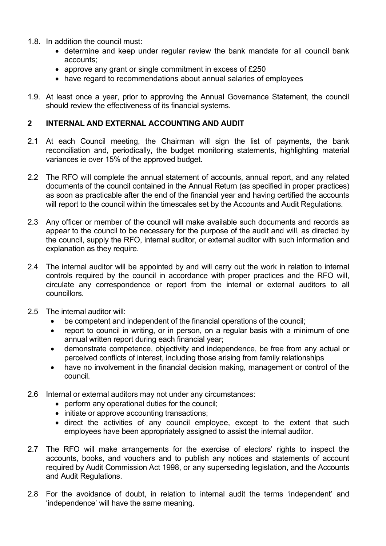- 1.8. In addition the council must:
	- determine and keep under regular review the bank mandate for all council bank accounts;
	- approve any grant or single commitment in excess of £250
	- have regard to recommendations about annual salaries of employees
- 1.9. At least once a year, prior to approving the Annual Governance Statement, the council should review the effectiveness of its financial systems.

#### <span id="page-2-0"></span>**2 INTERNAL AND EXTERNAL ACCOUNTING AND AUDIT**

- 2.1 At each Council meeting, the Chairman will sign the list of payments, the bank reconciliation and, periodically, the budget monitoring statements, highlighting material variances ie over 15% of the approved budget.
- 2.2 The RFO will complete the annual statement of accounts, annual report, and any related documents of the council contained in the Annual Return (as specified in proper practices) as soon as practicable after the end of the financial year and having certified the accounts will report to the council within the timescales set by the Accounts and Audit Regulations.
- 2.3 Any officer or member of the council will make available such documents and records as appear to the council to be necessary for the purpose of the audit and will, as directed by the council, supply the RFO, internal auditor, or external auditor with such information and explanation as they require.
- 2.4 The internal auditor will be appointed by and will carry out the work in relation to internal controls required by the council in accordance with proper practices and the RFO will, circulate any correspondence or report from the internal or external auditors to all councillors.
- 2.5 The internal auditor will:
	- be competent and independent of the financial operations of the council;
	- report to council in writing, or in person, on a regular basis with a minimum of one annual written report during each financial year;
	- demonstrate competence, objectivity and independence, be free from any actual or perceived conflicts of interest, including those arising from family relationships
	- have no involvement in the financial decision making, management or control of the council.
- 2.6 Internal or external auditors may not under any circumstances:
	- perform any operational duties for the council;
	- initiate or approve accounting transactions;
	- direct the activities of any council employee, except to the extent that such employees have been appropriately assigned to assist the internal auditor.
- 2.7 The RFO will make arrangements for the exercise of electors' rights to inspect the accounts, books, and vouchers and to publish any notices and statements of account required by Audit Commission Act 1998, or any superseding legislation, and the Accounts and Audit Regulations.
- 2.8 For the avoidance of doubt, in relation to internal audit the terms 'independent' and 'independence' will have the same meaning.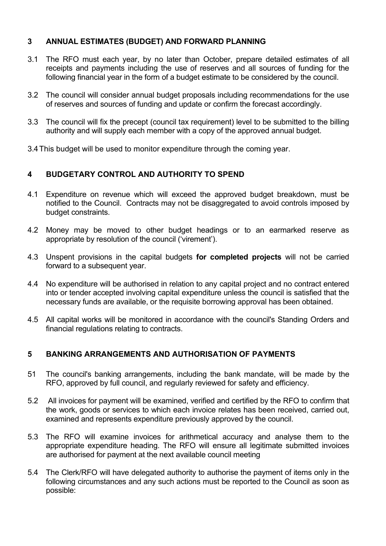## <span id="page-3-0"></span>**3 ANNUAL ESTIMATES (BUDGET) AND FORWARD PLANNING**

- 3.1 The RFO must each year, by no later than October, prepare detailed estimates of all receipts and payments including the use of reserves and all sources of funding for the following financial year in the form of a budget estimate to be considered by the council.
- 3.2 The council will consider annual budget proposals including recommendations for the use of reserves and sources of funding and update or confirm the forecast accordingly.
- 3.3 The council will fix the precept (council tax requirement) level to be submitted to the billing authority and will supply each member with a copy of the approved annual budget.
- 3.4This budget will be used to monitor expenditure through the coming year.

# <span id="page-3-1"></span>**4 BUDGETARY CONTROL AND AUTHORITY TO SPEND**

- 4.1 Expenditure on revenue which will exceed the approved budget breakdown, must be notified to the Council. Contracts may not be disaggregated to avoid controls imposed by budget constraints.
- 4.2 Money may be moved to other budget headings or to an earmarked reserve as appropriate by resolution of the council ('virement').
- 4.3 Unspent provisions in the capital budgets **for completed projects** will not be carried forward to a subsequent year.
- 4.4 No expenditure will be authorised in relation to any capital project and no contract entered into or tender accepted involving capital expenditure unless the council is satisfied that the necessary funds are available, or the requisite borrowing approval has been obtained.
- 4.5 All capital works will be monitored in accordance with the council's Standing Orders and financial regulations relating to contracts.

# <span id="page-3-2"></span>**5 BANKING ARRANGEMENTS AND AUTHORISATION OF PAYMENTS**

- 51 The council's banking arrangements, including the bank mandate, will be made by the RFO, approved by full council, and regularly reviewed for safety and efficiency.
- 5.2 All invoices for payment will be examined, verified and certified by the RFO to confirm that the work, goods or services to which each invoice relates has been received, carried out, examined and represents expenditure previously approved by the council.
- 5.3 The RFO will examine invoices for arithmetical accuracy and analyse them to the appropriate expenditure heading. The RFO will ensure all legitimate submitted invoices are authorised for payment at the next available council meeting
- 5.4 The Clerk/RFO will have delegated authority to authorise the payment of items only in the following circumstances and any such actions must be reported to the Council as soon as possible: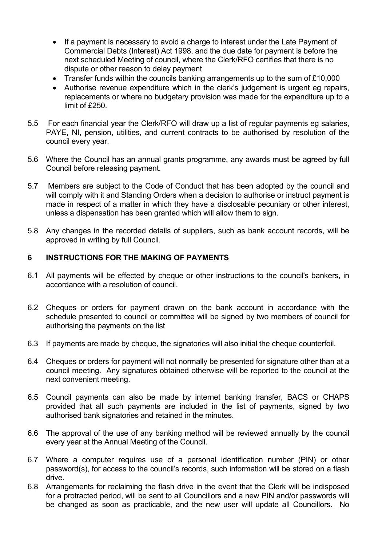- If a payment is necessary to avoid a charge to interest under the Late Payment of Commercial Debts (Interest) Act 1998, and the due date for payment is before the next scheduled Meeting of council, where the Clerk/RFO certifies that there is no dispute or other reason to delay payment
- Transfer funds within the councils banking arrangements up to the sum of £10,000
- Authorise revenue expenditure which in the clerk's judgement is urgent eg repairs, replacements or where no budgetary provision was made for the expenditure up to a limit of £250.
- 5.5 For each financial year the Clerk/RFO will draw up a list of regular payments eg salaries, PAYE, NI, pension, utilities, and current contracts to be authorised by resolution of the council every year.
- 5.6 Where the Council has an annual grants programme, any awards must be agreed by full Council before releasing payment.
- 5.7 Members are subject to the Code of Conduct that has been adopted by the council and will comply with it and Standing Orders when a decision to authorise or instruct payment is made in respect of a matter in which they have a disclosable pecuniary or other interest, unless a dispensation has been granted which will allow them to sign.
- 5.8 Any changes in the recorded details of suppliers, such as bank account records, will be approved in writing by full Council.

# <span id="page-4-0"></span>**6 INSTRUCTIONS FOR THE MAKING OF PAYMENTS**

- 6.1 All payments will be effected by cheque or other instructions to the council's bankers, in accordance with a resolution of council.
- 6.2 Cheques or orders for payment drawn on the bank account in accordance with the schedule presented to council or committee will be signed by two members of council for authorising the payments on the list
- 6.3 If payments are made by cheque, the signatories will also initial the cheque counterfoil.
- 6.4 Cheques or orders for payment will not normally be presented for signature other than at a council meeting. Any signatures obtained otherwise will be reported to the council at the next convenient meeting.
- 6.5 Council payments can also be made by internet banking transfer, BACS or CHAPS provided that all such payments are included in the list of payments, signed by two authorised bank signatories and retained in the minutes.
- 6.6 The approval of the use of any banking method will be reviewed annually by the council every year at the Annual Meeting of the Council.
- 6.7 Where a computer requires use of a personal identification number (PIN) or other password(s), for access to the council's records, such information will be stored on a flash drive.
- 6.8 Arrangements for reclaiming the flash drive in the event that the Clerk will be indisposed for a protracted period, will be sent to all Councillors and a new PIN and/or passwords will be changed as soon as practicable, and the new user will update all Councillors. No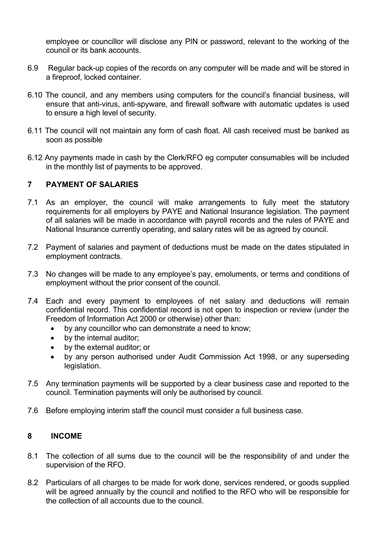employee or councillor will disclose any PIN or password, relevant to the working of the council or its bank accounts.

- 6.9 Regular back-up copies of the records on any computer will be made and will be stored in a fireproof, locked container.
- 6.10 The council, and any members using computers for the council's financial business, will ensure that anti-virus, anti-spyware, and firewall software with automatic updates is used to ensure a high level of security.
- 6.11 The council will not maintain any form of cash float. All cash received must be banked as soon as possible
- 6.12 Any payments made in cash by the Clerk/RFO eg computer consumables will be included in the monthly list of payments to be approved.

## <span id="page-5-0"></span>**7 PAYMENT OF SALARIES**

- 7.1 As an employer, the council will make arrangements to fully meet the statutory requirements for all employers by PAYE and National Insurance legislation. The payment of all salaries will be made in accordance with payroll records and the rules of PAYE and National Insurance currently operating, and salary rates will be as agreed by council.
- 7.2 Payment of salaries and payment of deductions must be made on the dates stipulated in employment contracts.
- 7.3 No changes will be made to any employee's pay, emoluments, or terms and conditions of employment without the prior consent of the council.
- 7.4 Each and every payment to employees of net salary and deductions will remain confidential record. This confidential record is not open to inspection or review (under the Freedom of Information Act 2000 or otherwise) other than:
	- by any councillor who can demonstrate a need to know;
	- by the internal auditor;
	- by the external auditor; or
	- by any person authorised under Audit Commission Act 1998, or any superseding legislation.
- 7.5 Any termination payments will be supported by a clear business case and reported to the council. Termination payments will only be authorised by council.
- 7.6 Before employing interim staff the council must consider a full business case.

## <span id="page-5-1"></span>**8 INCOME**

- 8.1 The collection of all sums due to the council will be the responsibility of and under the supervision of the RFO.
- 8.2 Particulars of all charges to be made for work done, services rendered, or goods supplied will be agreed annually by the council and notified to the RFO who will be responsible for the collection of all accounts due to the council.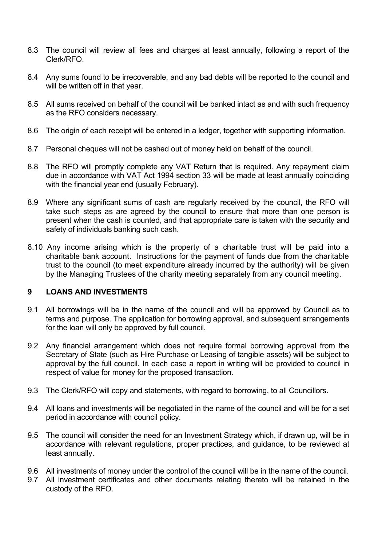- 8.3 The council will review all fees and charges at least annually, following a report of the Clerk/RFO.
- 8.4 Any sums found to be irrecoverable, and any bad debts will be reported to the council and will be written off in that year.
- 8.5 All sums received on behalf of the council will be banked intact as and with such frequency as the RFO considers necessary.
- 8.6 The origin of each receipt will be entered in a ledger, together with supporting information.
- 8.7 Personal cheques will not be cashed out of money held on behalf of the council.
- 8.8 The RFO will promptly complete any VAT Return that is required. Any repayment claim due in accordance with VAT Act 1994 section 33 will be made at least annually coinciding with the financial year end (usually February).
- 8.9 Where any significant sums of cash are regularly received by the council, the RFO will take such steps as are agreed by the council to ensure that more than one person is present when the cash is counted, and that appropriate care is taken with the security and safety of individuals banking such cash.
- 8.10 Any income arising which is the property of a charitable trust will be paid into a charitable bank account. Instructions for the payment of funds due from the charitable trust to the council (to meet expenditure already incurred by the authority) will be given by the Managing Trustees of the charity meeting separately from any council meeting.

## <span id="page-6-0"></span>**9 LOANS AND INVESTMENTS**

- 9.1 All borrowings will be in the name of the council and will be approved by Council as to terms and purpose. The application for borrowing approval, and subsequent arrangements for the loan will only be approved by full council.
- 9.2 Any financial arrangement which does not require formal borrowing approval from the Secretary of State (such as Hire Purchase or Leasing of tangible assets) will be subject to approval by the full council. In each case a report in writing will be provided to council in respect of value for money for the proposed transaction.
- 9.3 The Clerk/RFO will copy and statements, with regard to borrowing, to all Councillors.
- 9.4 All loans and investments will be negotiated in the name of the council and will be for a set period in accordance with council policy.
- 9.5 The council will consider the need for an Investment Strategy which, if drawn up, will be in accordance with relevant regulations, proper practices, and guidance, to be reviewed at least annually.
- 9.6 All investments of money under the control of the council will be in the name of the council.
- 9.7 All investment certificates and other documents relating thereto will be retained in the custody of the RFO.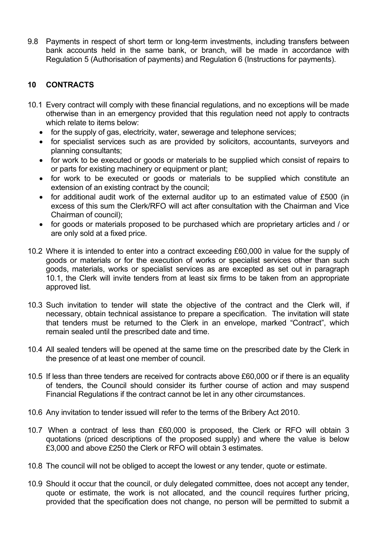9.8 Payments in respect of short term or long-term investments, including transfers between bank accounts held in the same bank, or branch, will be made in accordance with Regulation 5 (Authorisation of payments) and Regulation 6 (Instructions for payments).

# <span id="page-7-0"></span>**10 CONTRACTS**

- 10.1 Every contract will comply with these financial regulations, and no exceptions will be made otherwise than in an emergency provided that this regulation need not apply to contracts which relate to items below:
	- for the supply of gas, electricity, water, sewerage and telephone services;
	- for specialist services such as are provided by solicitors, accountants, surveyors and planning consultants;
	- for work to be executed or goods or materials to be supplied which consist of repairs to or parts for existing machinery or equipment or plant;
	- for work to be executed or goods or materials to be supplied which constitute an extension of an existing contract by the council;
	- for additional audit work of the external auditor up to an estimated value of £500 (in excess of this sum the Clerk/RFO will act after consultation with the Chairman and Vice Chairman of council);
	- for goods or materials proposed to be purchased which are proprietary articles and / or are only sold at a fixed price.
- 10.2 Where it is intended to enter into a contract exceeding £60,000 in value for the supply of goods or materials or for the execution of works or specialist services other than such goods, materials, works or specialist services as are excepted as set out in paragraph 10.1, the Clerk will invite tenders from at least six firms to be taken from an appropriate approved list.
- 10.3 Such invitation to tender will state the objective of the contract and the Clerk will, if necessary, obtain technical assistance to prepare a specification. The invitation will state that tenders must be returned to the Clerk in an envelope, marked "Contract", which remain sealed until the prescribed date and time.
- 10.4 All sealed tenders will be opened at the same time on the prescribed date by the Clerk in the presence of at least one member of council.
- 10.5 If less than three tenders are received for contracts above £60,000 or if there is an equality of tenders, the Council should consider its further course of action and may suspend Financial Regulations if the contract cannot be let in any other circumstances.
- 10.6 Any invitation to tender issued will refer to the terms of the Bribery Act 2010.
- 10.7 When a contract of less than £60,000 is proposed, the Clerk or RFO will obtain 3 quotations (priced descriptions of the proposed supply) and where the value is below £3,000 and above £250 the Clerk or RFO will obtain 3 estimates.
- 10.8 The council will not be obliged to accept the lowest or any tender, quote or estimate.
- 10.9 Should it occur that the council, or duly delegated committee, does not accept any tender, quote or estimate, the work is not allocated, and the council requires further pricing, provided that the specification does not change, no person will be permitted to submit a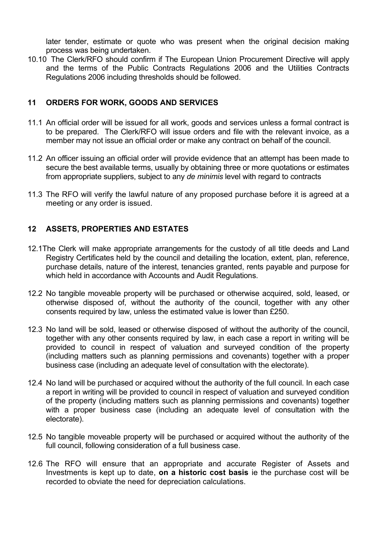later tender, estimate or quote who was present when the original decision making process was being undertaken.

10.10 The Clerk/RFO should confirm if The European Union Procurement Directive will apply and the terms of the Public Contracts Regulations 2006 and the Utilities Contracts Regulations 2006 including thresholds should be followed.

#### <span id="page-8-0"></span>**11 ORDERS FOR WORK, GOODS AND SERVICES**

- 11.1 An official order will be issued for all work, goods and services unless a formal contract is to be prepared. The Clerk/RFO will issue orders and file with the relevant invoice, as a member may not issue an official order or make any contract on behalf of the council.
- 11.2 An officer issuing an official order will provide evidence that an attempt has been made to secure the best available terms, usually by obtaining three or more quotations or estimates from appropriate suppliers, subject to any *de minimis* level with regard to contracts
- 11.3 The RFO will verify the lawful nature of any proposed purchase before it is agreed at a meeting or any order is issued.

## <span id="page-8-1"></span>**12 ASSETS, PROPERTIES AND ESTATES**

- 12.1The Clerk will make appropriate arrangements for the custody of all title deeds and Land Registry Certificates held by the council and detailing the location, extent, plan, reference, purchase details, nature of the interest, tenancies granted, rents payable and purpose for which held in accordance with Accounts and Audit Regulations.
- 12.2 No tangible moveable property will be purchased or otherwise acquired, sold, leased, or otherwise disposed of, without the authority of the council, together with any other consents required by law, unless the estimated value is lower than £250.
- 12.3 No land will be sold, leased or otherwise disposed of without the authority of the council, together with any other consents required by law, in each case a report in writing will be provided to council in respect of valuation and surveyed condition of the property (including matters such as planning permissions and covenants) together with a proper business case (including an adequate level of consultation with the electorate).
- 12.4 No land will be purchased or acquired without the authority of the full council. In each case a report in writing will be provided to council in respect of valuation and surveyed condition of the property (including matters such as planning permissions and covenants) together with a proper business case (including an adequate level of consultation with the electorate).
- 12.5 No tangible moveable property will be purchased or acquired without the authority of the full council, following consideration of a full business case.
- 12.6 The RFO will ensure that an appropriate and accurate Register of Assets and Investments is kept up to date, **on a historic cost basis** ie the purchase cost will be recorded to obviate the need for depreciation calculations.